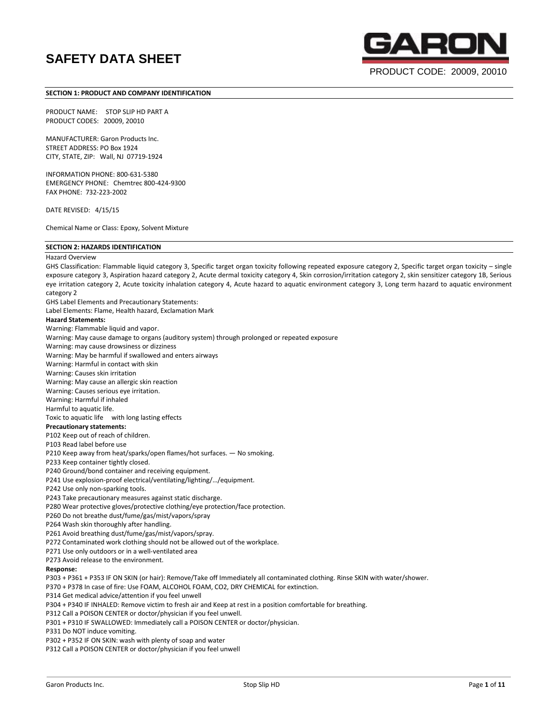

PRODUCT CODE: 20009, 20010

#### **SECTION 1: PRODUCT AND COMPANY IDENTIFICATION**

PRODUCT NAME: STOP SLIP HD PART A PRODUCT CODES: 20009, 20010

MANUFACTURER: Garon Products Inc. STREET ADDRESS: PO Box 1924 CITY, STATE, ZIP: Wall, NJ 07719-1924

INFORMATION PHONE: 800-631-5380 EMERGENCY PHONE: Chemtrec 800-424-9300 FAX PHONE: 732-223-2002

DATE REVISED: 4/15/15

Chemical Name or Class: Epoxy, Solvent Mixture

# **SECTION 2: HAZARDS IDENTIFICATION**

#### Hazard Overview

GHS Classification: Flammable liquid category 3, Specific target organ toxicity following repeated exposure category 2, Specific target organ toxicity – single exposure category 3, Aspiration hazard category 2, Acute dermal toxicity category 4, Skin corrosion/irritation category 2, skin sensitizer category 1B, Serious eye irritation category 2, Acute toxicity inhalation category 4, Acute hazard to aquatic environment category 3, Long term hazard to aquatic environment category 2 GHS Label Elements and Precautionary Statements: Label Elements: Flame, Health hazard, Exclamation Mark **Hazard Statements:** Warning: Flammable liquid and vapor. Warning: May cause damage to organs (auditory system) through prolonged or repeated exposure Warning: may cause drowsiness or dizziness Warning: May be harmful if swallowed and enters airways Warning: Harmful in contact with skin Warning: Causes skin irritation Warning: May cause an allergic skin reaction Warning: Causes serious eye irritation. Warning: Harmful if inhaled Harmful to aquatic life. Toxic to aquatic life with long lasting effects **Precautionary statements:** P102 Keep out of reach of children. P103 Read label before use P210 Keep away from heat/sparks/open flames/hot surfaces. — No smoking. P233 Keep container tightly closed. P240 Ground/bond container and receiving equipment. P241 Use explosion-proof electrical/ventilating/lighting/…/equipment. P242 Use only non-sparking tools. P243 Take precautionary measures against static discharge. P280 Wear protective gloves/protective clothing/eye protection/face protection. P260 Do not breathe dust/fume/gas/mist/vapors/spray P264 Wash skin thoroughly after handling. P261 Avoid breathing dust/fume/gas/mist/vapors/spray. P272 Contaminated work clothing should not be allowed out of the workplace. P271 Use only outdoors or in a well-ventilated area P273 Avoid release to the environment. **Response:** P303 + P361 + P353 IF ON SKIN (or hair): Remove/Take off Immediately all contaminated clothing. Rinse SKIN with water/shower. P370 + P378 In case of fire: Use FOAM, ALCOHOL FOAM, CO2, DRY CHEMICAL for extinction. P314 Get medical advice/attention if you feel unwell P304 + P340 IF INHALED: Remove victim to fresh air and Keep at rest in a position comfortable for breathing. P312 Call a POISON CENTER or doctor/physician if you feel unwell. P301 + P310 IF SWALLOWED: Immediately call a POISON CENTER or doctor/physician.

P331 Do NOT induce vomiting.

P302 + P352 IF ON SKIN: wash with plenty of soap and water

P312 Call a POISON CENTER or doctor/physician if you feel unwell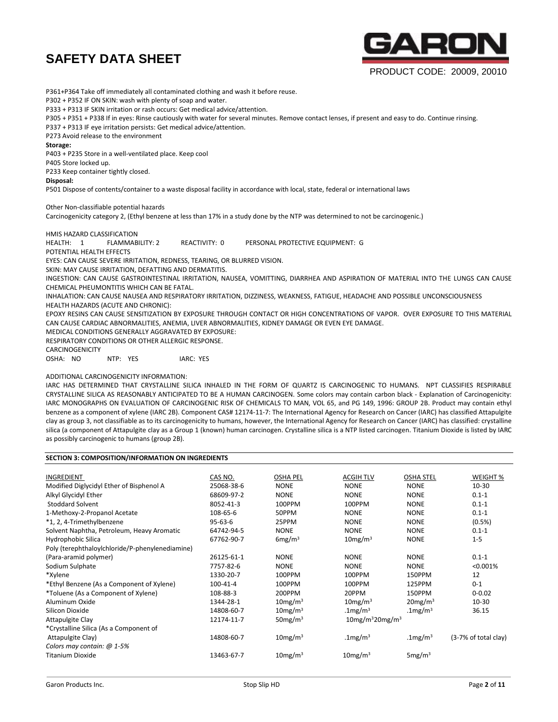

# PRODUCT CODE: 20009, 20010

P361+P364 Take off immediately all contaminated clothing and wash it before reuse.

P302 + P352 IF ON SKIN: wash with plenty of soap and water.

P333 + P313 IF SKIN irritation or rash occurs: Get medical advice/attention.

P305 + P351 + P338 If in eyes: Rinse cautiously with water for several minutes. Remove contact lenses, if present and easy to do. Continue rinsing.

P337 + P313 IF eye irritation persists: Get medical advice/attention.

P273 Avoid release to the environment

**Storage:**

P403 + P235 Store in a well-ventilated place. Keep cool

P405 Store locked up.

P233 Keep container tightly closed.

**Disposal:**

P501 Dispose of contents/container to a waste disposal facility in accordance with local, state, federal or international laws

Other Non-classifiable potential hazards

Carcinogenicity category 2, (Ethyl benzene at less than 17% in a study done by the NTP was determined to not be carcinogenic.)

# HMIS HAZARD CLASSIFICATION

HEALTH: 1 FLAMMABILITY: 2 REACTIVITY: 0 PERSONAL PROTECTIVE EQUIPMENT: G

POTENTIAL HEALTH EFFECTS

EYES: CAN CAUSE SEVERE IRRITATION, REDNESS, TEARING, OR BLURRED VISION.

SKIN: MAY CAUSE IRRITATION, DEFATTING AND DERMATITIS.

INGESTION: CAN CAUSE GASTROINTESTINAL IRRITATION, NAUSEA, VOMITTING, DIARRHEA AND ASPIRATION OF MATERIAL INTO THE LUNGS CAN CAUSE CHEMICAL PHEUMONTITIS WHICH CAN BE FATAL.

INHALATION: CAN CAUSE NAUSEA AND RESPIRATORY IRRITATION, DIZZINESS, WEAKNESS, FATIGUE, HEADACHE AND POSSIBLE UNCONSCIOUSNESS HEALTH HAZARDS (ACUTE AND CHRONIC):

EPOXY RESINS CAN CAUSE SENSITIZATION BY EXPOSURE THROUGH CONTACT OR HIGH CONCENTRATIONS OF VAPOR. OVER EXPOSURE TO THIS MATERIAL CAN CAUSE CARDIAC ABNORMALITIES, ANEMIA, LIVER ABNORMALITIES, KIDNEY DAMAGE OR EVEN EYE DAMAGE.

MEDICAL CONDITIONS GENERALLY AGGRAVATED BY EXPOSURE:

RESPIRATORY CONDITIONS OR OTHER ALLERGIC RESPONSE.

CARCINOGENICITY

OSHA: NO NTP: YES IARC: YES

# ADDITIONAL CARCINOGENICITY INFORMATION:

IARC HAS DETERMINED THAT CRYSTALLINE SILICA INHALED IN THE FORM OF QUARTZ IS CARCINOGENIC TO HUMANS. NPT CLASSIFIES RESPIRABLE CRYSTALLINE SILICA AS REASONABLY ANTICIPATED TO BE A HUMAN CARCINOGEN. Some colors may contain carbon black - Explanation of Carcinogenicity: IARC MONOGRAPHS ON EVALUATION OF CARCINOGENIC RISK OF CHEMICALS TO MAN, VOL 65, and PG 149, 1996: GROUP 2B. Product may contain ethyl benzene as a component of xylene (IARC 2B). Component CAS# 12174-11-7: The International Agency for Research on Cancer (IARC) has classified Attapulgite clay as group 3, not classifiable as to its carcinogenicity to humans, however, the International Agency for Research on Cancer (IARC) has classified: crystalline silica (a component of Attapulgite clay as a Group 1 (known) human carcinogen. Crystalline silica is a NTP listed carcinogen. Titanium Dioxide is listed by IARC as possibly carcinogenic to humans (group 2B).

| SECTION 3: COMPOSITION/INFORMATION ON INGREDIENTS |               |                     |                                            |                        |                      |  |  |  |
|---------------------------------------------------|---------------|---------------------|--------------------------------------------|------------------------|----------------------|--|--|--|
| INGREDIENT                                        | CAS NO.       | <b>OSHA PEL</b>     | <b>ACGIH TLV</b>                           | <b>OSHA STEL</b>       | WEIGHT %             |  |  |  |
| Modified Diglycidyl Ether of Bisphenol A          | 25068-38-6    | <b>NONE</b>         | <b>NONE</b>                                | <b>NONE</b>            | $10 - 30$            |  |  |  |
| Alkyl Glycidyl Ether                              | 68609-97-2    | <b>NONE</b>         | <b>NONE</b>                                | <b>NONE</b>            | $0.1 - 1$            |  |  |  |
| <b>Stoddard Solvent</b>                           | 8052-41-3     | 100PPM              | 100PPM                                     | <b>NONE</b>            | $0.1 - 1$            |  |  |  |
| 1-Methoxy-2-Propanol Acetate                      | 108-65-6      | 50PPM               | <b>NONE</b>                                | <b>NONE</b>            | $0.1 - 1$            |  |  |  |
| *1, 2, 4-Trimethylbenzene                         | $95 - 63 - 6$ | 25PPM               | <b>NONE</b>                                | <b>NONE</b>            | $(0.5\%)$            |  |  |  |
| Solvent Naphtha, Petroleum, Heavy Aromatic        | 64742-94-5    | <b>NONE</b>         | <b>NONE</b>                                | <b>NONE</b>            | $0.1 - 1$            |  |  |  |
| Hydrophobic Silica                                | 67762-90-7    | 6mg/m <sup>3</sup>  | 10mg/m <sup>3</sup>                        | <b>NONE</b>            | $1 - 5$              |  |  |  |
| Poly (terephthaloylchloride/P-phenylenediamine)   |               |                     |                                            |                        |                      |  |  |  |
| (Para-aramid polymer)                             | 26125-61-1    | <b>NONE</b>         | <b>NONE</b>                                | <b>NONE</b>            | $0.1 - 1$            |  |  |  |
| Sodium Sulphate                                   | 7757-82-6     | <b>NONE</b>         | <b>NONE</b>                                | <b>NONE</b>            | $< 0.001\%$          |  |  |  |
| *Xylene                                           | 1330-20-7     | 100PPM              | 100PPM                                     | 150PPM                 | 12                   |  |  |  |
| *Ethyl Benzene (As a Component of Xylene)         | 100-41-4      | 100PPM              | 100PPM                                     | 125PPM                 | $0-1$                |  |  |  |
| *Toluene (As a Component of Xylene)               | 108-88-3      | 200PPM              | 20PPM                                      | 150PPM                 | $0 - 0.02$           |  |  |  |
| Aluminum Oxide                                    | 1344-28-1     | 10mg/m <sup>3</sup> | $10$ mg/m $3$                              | $20$ mg/m <sup>3</sup> | $10 - 30$            |  |  |  |
| Silicon Dioxide                                   | 14808-60-7    | 10mg/m <sup>3</sup> | .1 $mg/m3$                                 | .1mg/m <sup>3</sup>    | 36.15                |  |  |  |
| Attapulgite Clay                                  | 12174-11-7    | 50 $mg/m3$          | $10$ mg/m <sup>3</sup> 20mg/m <sup>3</sup> |                        |                      |  |  |  |
| *Crystalline Silica (As a Component of            |               |                     |                                            |                        |                      |  |  |  |
| Attapulgite Clay)                                 | 14808-60-7    | $10$ mg/m $3$       | .1 $mg/m3$                                 | $.1$ mg/m $3$          | (3-7% of total clay) |  |  |  |
| Colors may contain: @ 1-5%                        |               |                     |                                            |                        |                      |  |  |  |
| <b>Titanium Dioxide</b>                           | 13463-67-7    | 10mg/m <sup>3</sup> | $10$ mg/m <sup>3</sup>                     | 5mg/m <sup>3</sup>     |                      |  |  |  |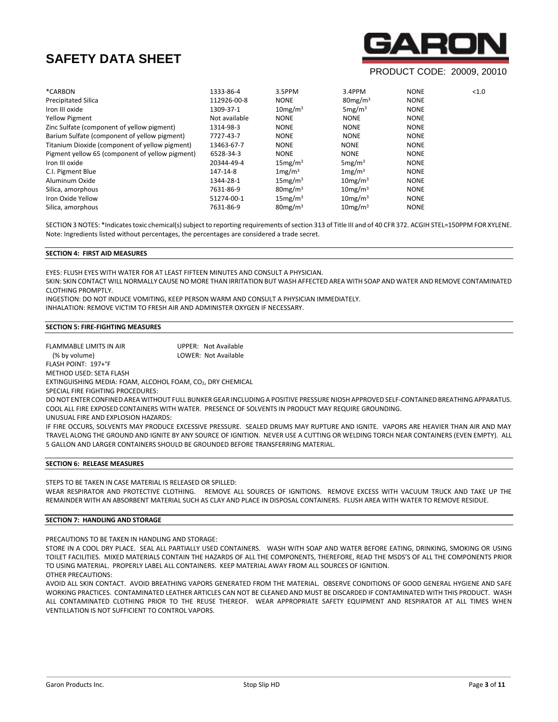

# PRODUCT CODE: 20009, 20010

| 1333-86-4     | 3.5PPM                 | 3.4PPM              | <b>NONE</b> | < 1.0 |
|---------------|------------------------|---------------------|-------------|-------|
| 112926-00-8   | <b>NONE</b>            | $80$ mg/m $3$       | <b>NONE</b> |       |
| 1309-37-1     | 10mg/m <sup>3</sup>    | 5mg/m <sup>3</sup>  | <b>NONE</b> |       |
| Not available | <b>NONE</b>            | <b>NONE</b>         | <b>NONE</b> |       |
| 1314-98-3     | <b>NONE</b>            | <b>NONE</b>         | <b>NONE</b> |       |
| 7727-43-7     | <b>NONE</b>            | <b>NONE</b>         | <b>NONE</b> |       |
| 13463-67-7    | <b>NONE</b>            | <b>NONE</b>         | <b>NONE</b> |       |
| 6528-34-3     | <b>NONE</b>            | <b>NONE</b>         | <b>NONE</b> |       |
| 20344-49-4    | 15mg/m <sup>3</sup>    | 5mg/m <sup>3</sup>  | <b>NONE</b> |       |
| 147-14-8      | 1mg/m <sup>3</sup>     | 1mg/m <sup>3</sup>  | <b>NONE</b> |       |
| 1344-28-1     | 15mg/m <sup>3</sup>    | $10$ mg/m $3$       | <b>NONE</b> |       |
| 7631-86-9     | $80$ mg/m $3$          | $10$ mg/m $3$       | <b>NONE</b> |       |
| 51274-00-1    | 15mg/m <sup>3</sup>    | $10$ mg/m $3$       | <b>NONE</b> |       |
| 7631-86-9     | $80$ mg/m <sup>3</sup> | 10mg/m <sup>3</sup> | <b>NONE</b> |       |
|               |                        |                     |             |       |

SECTION 3 NOTES: \*Indicates toxic chemical(s) subject to reporting requirements of section 313 of Title III and of 40 CFR 372. ACGIH STEL=150PPM FOR XYLENE. Note: Ingredients listed without percentages, the percentages are considered a trade secret.

# **SECTION 4: FIRST AID MEASURES**

EYES: FLUSH EYES WITH WATER FOR AT LEAST FIFTEEN MINUTES AND CONSULT A PHYSICIAN.

SKIN: SKIN CONTACT WILL NORMALLY CAUSE NO MORE THAN IRRITATION BUT WASH AFFECTED AREA WITH SOAP AND WATER AND REMOVE CONTAMINATED CLOTHING PROMPTLY.

INGESTION: DO NOT INDUCE VOMITING, KEEP PERSON WARM AND CONSULT A PHYSICIAN IMMEDIATELY.

INHALATION: REMOVE VICTIM TO FRESH AIR AND ADMINISTER OXYGEN IF NECESSARY.

## **SECTION 5: FIRE-FIGHTING MEASURES**

FLAMMABLE LIMITS IN AIR **UPPER: Not Available**  (% by volume) LOWER: Not Available FLASH POINT: 197+°F METHOD USED: SETA FLASH EXTINGUISHING MEDIA: FOAM, ALCOHOL FOAM, CO2, DRY CHEMICAL SPECIAL FIRE FIGHTING PROCEDURES:

DO NOT ENTER CONFINED AREA WITHOUT FULL BUNKER GEAR INCLUDING A POSITIVE PRESSURE NIOSH APPROVED SELF-CONTAINED BREATHING APPARATUS. COOL ALL FIRE EXPOSED CONTAINERS WITH WATER. PRESENCE OF SOLVENTS IN PRODUCT MAY REQUIRE GROUNDING.

UNUSUAL FIRE AND EXPLOSION HAZARDS:

IF FIRE OCCURS, SOLVENTS MAY PRODUCE EXCESSIVE PRESSURE. SEALED DRUMS MAY RUPTURE AND IGNITE. VAPORS ARE HEAVIER THAN AIR AND MAY TRAVEL ALONG THE GROUND AND IGNITE BY ANY SOURCE OF IGNITION. NEVER USE A CUTTING OR WELDING TORCH NEAR CONTAINERS (EVEN EMPTY). ALL 5 GALLON AND LARGER CONTAINERS SHOULD BE GROUNDED BEFORE TRANSFERRING MATERIAL.

## **SECTION 6: RELEASE MEASURES**

STEPS TO BE TAKEN IN CASE MATERIAL IS RELEASED OR SPILLED:

WEAR RESPIRATOR AND PROTECTIVE CLOTHING. REMOVE ALL SOURCES OF IGNITIONS. REMOVE EXCESS WITH VACUUM TRUCK AND TAKE UP THE REMAINDER WITH AN ABSORBENT MATERIAL SUCH AS CLAY AND PLACE IN DISPOSAL CONTAINERS. FLUSH AREA WITH WATER TO REMOVE RESIDUE.

## **SECTION 7: HANDLING AND STORAGE**

PRECAUTIONS TO BE TAKEN IN HANDLING AND STORAGE:

STORE IN A COOL DRY PLACE. SEAL ALL PARTIALLY USED CONTAINERS. WASH WITH SOAP AND WATER BEFORE EATING, DRINKING, SMOKING OR USING TOILET FACILITIES. MIXED MATERIALS CONTAIN THE HAZARDS OF ALL THE COMPONENTS, THEREFORE, READ THE MSDS'S OF ALL THE COMPONENTS PRIOR TO USING MATERIAL. PROPERLY LABEL ALL CONTAINERS. KEEP MATERIAL AWAY FROM ALL SOURCES OF IGNITION.

OTHER PRECAUTIONS:

AVOID ALL SKIN CONTACT. AVOID BREATHING VAPORS GENERATED FROM THE MATERIAL. OBSERVE CONDITIONS OF GOOD GENERAL HYGIENE AND SAFE WORKING PRACTICES. CONTAMINATED LEATHER ARTICLES CAN NOT BE CLEANED AND MUST BE DISCARDED IF CONTAMINATED WITH THIS PRODUCT. WASH ALL CONTAMINATED CLOTHING PRIOR TO THE REUSE THEREOF. WEAR APPROPRIATE SAFETY EQUIPMENT AND RESPIRATOR AT ALL TIMES WHEN VENTILLATION IS NOT SUFFICIENT TO CONTROL VAPORS.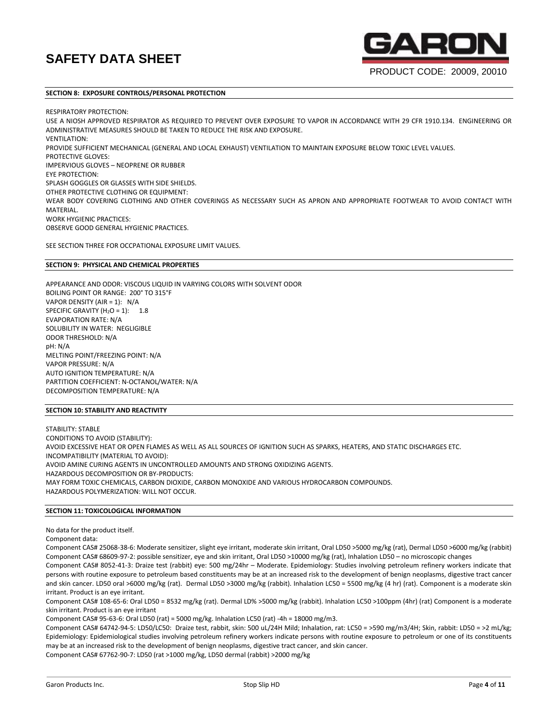# **SECTION 8: EXPOSURE CONTROLS/PERSONAL PROTECTION**

RESPIRATORY PROTECTION:

USE A NIOSH APPROVED RESPIRATOR AS REQUIRED TO PREVENT OVER EXPOSURE TO VAPOR IN ACCORDANCE WITH 29 CFR 1910.134. ENGINEERING OR ADMINISTRATIVE MEASURES SHOULD BE TAKEN TO REDUCE THE RISK AND EXPOSURE. VENTILATION: PROVIDE SUFFICIENT MECHANICAL (GENERAL AND LOCAL EXHAUST) VENTILATION TO MAINTAIN EXPOSURE BELOW TOXIC LEVEL VALUES. PROTECTIVE GLOVES: IMPERVIOUS GLOVES – NEOPRENE OR RUBBER EYE PROTECTION: SPLASH GOGGLES OR GLASSES WITH SIDE SHIELDS. OTHER PROTECTIVE CLOTHING OR EQUIPMENT: WEAR BODY COVERING CLOTHING AND OTHER COVERINGS AS NECESSARY SUCH AS APRON AND APPROPRIATE FOOTWEAR TO AVOID CONTACT WITH MATERIAL. WORK HYGIENIC PRACTICES: OBSERVE GOOD GENERAL HYGIENIC PRACTICES.

SEE SECTION THREE FOR OCCPATIONAL EXPOSURE LIMIT VALUES.

# **SECTION 9: PHYSICAL AND CHEMICAL PROPERTIES**

APPEARANCE AND ODOR: VISCOUS LIQUID IN VARYING COLORS WITH SOLVENT ODOR BOILING POINT OR RANGE: 200° TO 315°F VAPOR DENSITY (AIR = 1): N/A SPECIFIC GRAVITY  $(H_2O = 1):$  1.8 EVAPORATION RATE: N/A SOLUBILITY IN WATER: NEGLIGIBLE ODOR THRESHOLD: N/A pH: N/A MELTING POINT/FREEZING POINT: N/A VAPOR PRESSURE: N/A AUTO IGNITION TEMPERATURE: N/A PARTITION COEFFICIENT: N-OCTANOL/WATER: N/A DECOMPOSITION TEMPERATURE: N/A

# **SECTION 10: STABILITY AND REACTIVITY**

STABILITY: STABLE CONDITIONS TO AVOID (STABILITY): AVOID EXCESSIVE HEAT OR OPEN FLAMES AS WELL AS ALL SOURCES OF IGNITION SUCH AS SPARKS, HEATERS, AND STATIC DISCHARGES ETC. INCOMPATIBILITY (MATERIAL TO AVOID): AVOID AMINE CURING AGENTS IN UNCONTROLLED AMOUNTS AND STRONG OXIDIZING AGENTS. HAZARDOUS DECOMPOSITION OR BY-PRODUCTS: MAY FORM TOXIC CHEMICALS, CARBON DIOXIDE, CARBON MONOXIDE AND VARIOUS HYDROCARBON COMPOUNDS. HAZARDOUS POLYMERIZATION: WILL NOT OCCUR.

# **SECTION 11: TOXICOLOGICAL INFORMATION**

No data for the product itself.

Component data:

Component CAS# 25068-38-6: Moderate sensitizer, slight eye irritant, moderate skin irritant, Oral LD50 >5000 mg/kg (rat), Dermal LD50 >6000 mg/kg (rabbit) Component CAS# 68609-97-2: possible sensitizer, eye and skin irritant, Oral LD50 >10000 mg/kg (rat), Inhalation LD50 – no microscopic changes

Component CAS# 8052-41-3: Draize test (rabbit) eye: 500 mg/24hr – Moderate. Epidemiology: Studies involving petroleum refinery workers indicate that persons with routine exposure to petroleum based constituents may be at an increased risk to the development of benign neoplasms, digestive tract cancer and skin cancer. LD50 oral >6000 mg/kg (rat). Dermal LD50 >3000 mg/kg (rabbit). Inhalation LC50 = 5500 mg/kg (4 hr) (rat). Component is a moderate skin irritant. Product is an eye irritant.

Component CAS# 108-65-6: Oral LD50 = 8532 mg/kg (rat). Dermal LD% >5000 mg/kg (rabbit). Inhalation LC50 >100ppm (4hr) (rat) Component is a moderate skin irritant. Product is an eye irritant

Component CAS# 95-63-6: Oral LD50 (rat) = 5000 mg/kg. Inhalation LC50 (rat) -4h = 18000 mg/m3.

Component CAS# 64742-94-5: LD50/LC50: Draize test, rabbit, skin: 500 uL/24H Mild; Inhalation, rat: LC50 = >590 mg/m3/4H; Skin, rabbit: LD50 = >2 mL/kg; Epidemiology: Epidemiological studies involving petroleum refinery workers indicate persons with routine exposure to petroleum or one of its constituents may be at an increased risk to the development of benign neoplasms, digestive tract cancer, and skin cancer.

Component CAS# 67762-90-7: LD50 (rat >1000 mg/kg, LD50 dermal (rabbit) >2000 mg/kg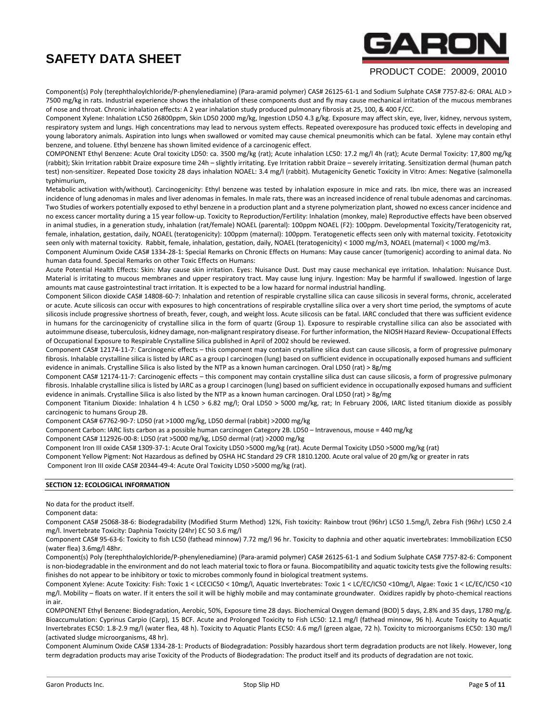# ARC

# PRODUCT CODE: 20009, 20010

Component(s) Poly (terephthaloylchloride/P-phenylenediamine) (Para-aramid polymer) CAS# 26125-61-1 and Sodium Sulphate CAS# 7757-82-6: ORAL ALD > 7500 mg/kg in rats. Industrial experience shows the inhalation of these components dust and fly may cause mechanical irritation of the mucous membranes of nose and throat. Chronic inhalation effects: A 2 year inhalation study produced pulmonary fibrosis at 25, 100, & 400 F/CC.

Component Xylene: Inhalation LC50 26800ppm, Skin LD50 2000 mg/kg, Ingestion LD50 4.3 g/kg. Exposure may affect skin, eye, liver, kidney, nervous system, respiratory system and lungs. High concentrations may lead to nervous system effects. Repeated overexposure has produced toxic effects in developing and young laboratory animals. Aspiration into lungs when swallowed or vomited may cause chemical pneumonitis which can be fatal. Xylene may contain ethyl benzene, and toluene. Ethyl benzene has shown limited evidence of a carcinogenic effect.

COMPONENT Ethyl Benzene: Acute Oral toxicity LD50: ca. 3500 mg/kg (rat); Acute inhalation LC50: 17.2 mg/l 4h (rat); Acute Dermal Toxicity: 17,800 mg/kg (rabbit); Skin Irritation rabbit Draize exposure time 24h – slightly irritating. Eye Irritation rabbit Draize – severely irritating. Sensitization dermal (human patch test) non-sensitizer. Repeated Dose toxicity 28 days inhalation NOAEL: 3.4 mg/l (rabbit). Mutagenicity Genetic Toxicity in Vitro: Ames: Negative (salmonella typhimurium,

Metabolic activation with/without). Carcinogenicity: Ethyl benzene was tested by inhalation exposure in mice and rats. Ibn mice, there was an increased incidence of lung adenomas in males and liver adenomas in females. In male rats, there was an increased incidence of renal tubule adenomas and carcinomas. Two Studies of workers potentially exposed to ethyl benzene in a production plant and a styrene polymerization plant, showed no excess cancer incidence and no excess cancer mortality during a 15 year follow-up. Toxicity to Reproduction/Fertility: Inhalation (monkey, male) Reproductive effects have been observed in animal studies, in a generation study, inhalation (rat/female) NOAEL (parental): 100ppm NOAEL (F2): 100ppm. Developmental Toxicity/Teratogenicity rat, female, inhalation, gestation, daily, NOAEL (teratogenicity): 100ppm (maternal): 100ppm. Teratogenetic effects seen only with maternal toxicity. Fetotoxicity seen only with maternal toxicity. Rabbit, female, inhalation, gestation, daily, NOAEL (teratogenicity) < 1000 mg/m3, NOAEL (maternal) < 1000 mg/m3.

Component Aluminum Oxide CAS# 1334-28-1: Special Remarks on Chronic Effects on Humans: May cause cancer (tumorigenic) according to animal data. No human data found. Special Remarks on other Toxic Effects on Humans:

Acute Potential Health Effects: Skin: May cause skin irritation. Eyes: Nuisance Dust. Dust may cause mechanical eye irritation. Inhalation: Nuisance Dust. Material is irritating to mucous membranes and upper respiratory tract. May cause lung injury. Ingestion: May be harmful if swallowed. Ingestion of large amounts mat cause gastrointestinal tract irritation. It is expected to be a low hazard for normal industrial handling.

Component Silicon dioxide CAS# 14808-60-7: Inhalation and retention of respirable crystalline silica can cause silicosis in several forms, chronic, accelerated or acute. Acute silicosis can occur with exposures to high concentrations of respirable crystalline silica over a very short time period, the symptoms of acute silicosis include progressive shortness of breath, fever, cough, and weight loss. Acute silicosis can be fatal. IARC concluded that there was sufficient evidence in humans for the carcinogenicity of crystalline silica in the form of quartz (Group 1). Exposure to respirable crystalline silica can also be associated with autoimmune disease, tuberculosis, kidney damage, non-malignant respiratory disease. For further information, the NIOSH Hazard Review- Occupational Effects of Occupational Exposure to Respirable Crystalline Silica published in April of 2002 should be reviewed.

Component CAS# 12174-11-7: Carcinogenic effects – this component may contain crystalline silica dust can cause silicosis, a form of progressive pulmonary fibrosis. Inhalable crystalline silica is listed by IARC as a group I carcinogen (lung) based on sufficient evidence in occupationally exposed humans and sufficient evidence in animals. Crystalline Silica is also listed by the NTP as a known human carcinogen. Oral LD50 (rat) > 8g/mg

Component CAS# 12174-11-7: Carcinogenic effects – this component may contain crystalline silica dust can cause silicosis, a form of progressive pulmonary fibrosis. Inhalable crystalline silica is listed by IARC as a group I carcinogen (lung) based on sufficient evidence in occupationally exposed humans and sufficient evidence in animals. Crystalline Silica is also listed by the NTP as a known human carcinogen. Oral LD50 (rat) > 8g/mg

Component Titanium Dioxide: Inhalation 4 h LC50 > 6.82 mg/l; Oral LD50 > 5000 mg/kg, rat; In February 2006, IARC listed titanium dioxide as possibly carcinogenic to humans Group 2B.

Component CAS# 67762-90-7: LD50 (rat >1000 mg/kg, LD50 dermal (rabbit) >2000 mg/kg

Component Carbon: IARC lists carbon as a possible human carcinogen Category 2B. LD50 – Intravenous, mouse = 440 mg/kg

Component CAS# 112926-00-8: LD50 (rat >5000 mg/kg, LD50 dermal (rat) >2000 mg/kg

Component Iron III oxide CAS# 1309-37-1: Acute Oral Toxicity LD50 >5000 mg/kg (rat). Acute Dermal Toxicity LD50 >5000 mg/kg (rat)

Component Yellow Pigment: Not Hazardous as defined by OSHA HC Standard 29 CFR 1810.1200. Acute oral value of 20 gm/kg or greater in rats

Component Iron III oxide CAS# 20344-49-4: Acute Oral Toxicity LD50 >5000 mg/kg (rat).

# **SECTION 12: ECOLOGICAL INFORMATION**

No data for the product itself.

Component data:

Component CAS# 25068-38-6: Biodegradability (Modified Sturm Method) 12%, Fish toxicity: Rainbow trout (96hr) LC50 1.5mg/l, Zebra Fish (96hr) LC50 2.4 mg/l. Invertebrate Toxicity: Daphnia Toxicity (24hr) EC 50 3.6 mg/l

Component CAS# 95-63-6: Toxicity to fish LC50 (fathead minnow) 7.72 mg/l 96 hr. Toxicity to daphnia and other aquatic invertebrates: Immobilization EC50 (water flea) 3.6mg/l 48hr.

Component(s) Poly (terephthaloylchloride/P-phenylenediamine) (Para-aramid polymer) CAS# 26125-61-1 and Sodium Sulphate CAS# 7757-82-6: Component is non-biodegradable in the environment and do not leach material toxic to flora or fauna. Biocompatibility and aquatic toxicity tests give the following results: finishes do not appear to be inhibitory or toxic to microbes commonly found in biological treatment systems.

Component Xylene: Acute Toxicity: Fish: Toxic 1 < LCECIC50 < 10mg/l, Aquatic Invertebrates: Toxic 1 < LC/EC/IC50 <10mg/l, Algae: Toxic 1 < LC/EC/IC50 <10 mg/l. Mobility – floats on water. If it enters the soil it will be highly mobile and may contaminate groundwater. Oxidizes rapidly by photo-chemical reactions in air.

COMPONENT Ethyl Benzene: Biodegradation, Aerobic, 50%, Exposure time 28 days. Biochemical Oxygen demand (BOD) 5 days, 2.8% and 35 days, 1780 mg/g. Bioaccumulation: Cyprinus Carpio (Carp), 15 BCF. Acute and Prolonged Toxicity to Fish LC50: 12.1 mg/l (fathead minnow, 96 h). Acute Toxicity to Aquatic Invertebrates EC50: 1.8-2.9 mg/l (water flea, 48 h). Toxicity to Aquatic Plants EC50: 4.6 mg/l (green algae, 72 h). Toxicity to microorganisms EC50: 130 mg/l (activated sludge microorganisms, 48 hr).

Component Aluminum Oxide CAS# 1334-28-1: Products of Biodegradation: Possibly hazardous short term degradation products are not likely. However, long term degradation products may arise Toxicity of the Products of Biodegradation: The product itself and its products of degradation are not toxic.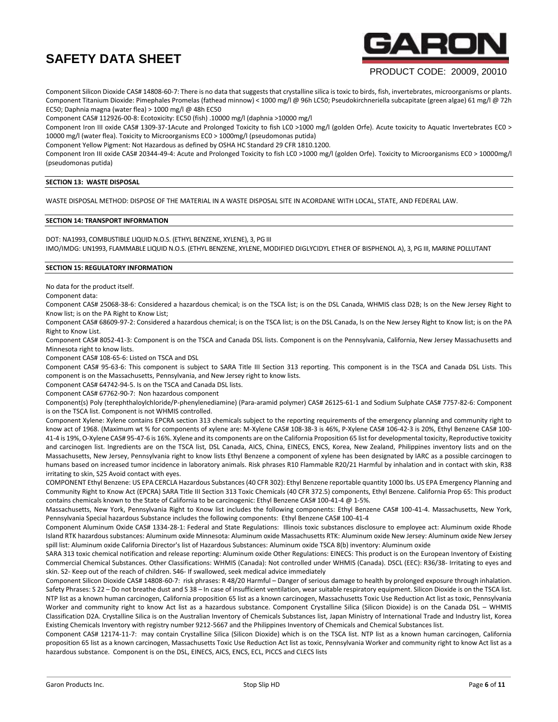

# PRODUCT CODE: 20009, 20010

Component Silicon Dioxide CAS# 14808-60-7: There is no data that suggests that crystalline silica is toxic to birds, fish, invertebrates, microorganisms or plants. Component Titanium Dioxide: Pimephales Promelas (fathead minnow) < 1000 mg/l @ 96h LC50; Pseudokirchneriella subcapitate (green algae) 61 mg/l @ 72h EC50; Daphnia magna (water flea) > 1000 mg/l @ 48h EC50

Component CAS# 112926-00-8: Ecotoxicity: EC50 (fish) .10000 mg/l (daphnia >10000 mg/l

Component Iron III oxide CAS# 1309-37-1Acute and Prolonged Toxicity to fish LC0 >1000 mg/l (golden Orfe). Acute toxicity to Aquatic Invertebrates EC0 > 10000 mg/l (water flea). Toxicity to Microorganisms EC0 > 1000mg/l (pseudomonas putida)

Component Yellow Pigment: Not Hazardous as defined by OSHA HC Standard 29 CFR 1810.1200.

Component Iron III oxide CAS# 20344-49-4: Acute and Prolonged Toxicity to fish LC0 >1000 mg/l (golden Orfe). Toxicity to Microorganisms EC0 > 10000mg/l (pseudomonas putida)

# **SECTION 13: WASTE DISPOSAL**

WASTE DISPOSAL METHOD: DISPOSE OF THE MATERIAL IN A WASTE DISPOSAL SITE IN ACORDANE WITH LOCAL, STATE, AND FEDERAL LAW.

# **SECTION 14: TRANSPORT INFORMATION**

DOT: NA1993, COMBUSTIBLE LIQUID N.O.S. (ETHYL BENZENE, XYLENE), 3, PG III IMO/IMDG: UN1993, FLAMMABLE LIQUID N.O.S. (ETHYL BENZENE, XYLENE, MODIFIED DIGLYCIDYL ETHER OF BISPHENOL A), 3, PG III, MARINE POLLUTANT

## **SECTION 15: REGULATORY INFORMATION**

No data for the product itself.

Component data:

Component CAS# 25068-38-6: Considered a hazardous chemical; is on the TSCA list; is on the DSL Canada, WHMIS class D2B; Is on the New Jersey Right to Know list; is on the PA Right to Know List;

Component CAS# 68609-97-2: Considered a hazardous chemical; is on the TSCA list; is on the DSL Canada, Is on the New Jersey Right to Know list; is on the PA Right to Know List.

Component CAS# 8052-41-3: Component is on the TSCA and Canada DSL lists. Component is on the Pennsylvania, California, New Jersey Massachusetts and Minnesota right to know lists.

Component CAS# 108-65-6: Listed on TSCA and DSL

Component CAS# 95-63-6: This component is subject to SARA Title III Section 313 reporting. This component is in the TSCA and Canada DSL Lists. This component is on the Massachusetts, Pennsylvania, and New Jersey right to know lists.

Component CAS# 64742-94-5. Is on the TSCA and Canada DSL lists.

Component CAS# 67762-90-7: Non hazardous component

Component(s) Poly (terephthaloylchloride/P-phenylenediamine) (Para-aramid polymer) CAS# 26125-61-1 and Sodium Sulphate CAS# 7757-82-6: Component is on the TSCA list. Component is not WHMIS controlled.

Component Xylene: Xylene contains EPCRA section 313 chemicals subject to the reporting requirements of the emergency planning and community right to know act of 1968. (Maximum wt % for components of xylene are: M-Xylene CAS# 108-38-3 is 46%, P-Xylene CAS# 106-42-3 is 20%, Ethyl Benzene CAS# 100- 41-4 is 19%, O-Xylene CAS# 95-47-6 is 16%. Xylene and its components are on the California Proposition 65 list for developmental toxicity, Reproductive toxicity and carcinogen list. Ingredients are on the TSCA list, DSL Canada, AICS, China, EINECS, ENCS, Korea, New Zealand, Philippines inventory lists and on the Massachusetts, New Jersey, Pennsylvania right to know lists Ethyl Benzene a component of xylene has been designated by IARC as a possible carcinogen to humans based on increased tumor incidence in laboratory animals. Risk phrases R10 Flammable R20/21 Harmful by inhalation and in contact with skin, R38 irritating to skin, S25 Avoid contact with eyes.

COMPONENT Ethyl Benzene: US EPA CERCLA Hazardous Substances (40 CFR 302): Ethyl Benzene reportable quantity 1000 lbs. US EPA Emergency Planning and Community Right to Know Act (EPCRA) SARA Title III Section 313 Toxic Chemicals (40 CFR 372.5) components, Ethyl Benzene. California Prop 65: This product contains chemicals known to the State of California to be carcinogenic: Ethyl Benzene CAS# 100-41-4 @ 1-5%.

Massachusetts, New York, Pennsylvania Right to Know list includes the following components: Ethyl Benzene CAS# 100-41-4. Massachusetts, New York, Pennsylvania Special hazardous Substance includes the following components: Ethyl Benzene CAS# 100-41-4

Component Aluminum Oxide CAS# 1334-28-1: Federal and State Regulations: Illinois toxic substances disclosure to employee act: Aluminum oxide Rhode Island RTK hazardous substances: Aluminum oxide Minnesota: Aluminum oxide Massachusetts RTK: Aluminum oxide New Jersey: Aluminum oxide New Jersey spill list: Aluminum oxide California Director's list of Hazardous Substances: Aluminum oxide TSCA 8(b) inventory: Aluminum oxide

SARA 313 toxic chemical notification and release reporting: Aluminum oxide Other Regulations: EINECS: This product is on the European Inventory of Existing Commercial Chemical Substances. Other Classifications: WHMIS (Canada): Not controlled under WHMIS (Canada). DSCL (EEC): R36/38- Irritating to eyes and skin. S2- Keep out of the reach of children. S46- If swallowed, seek medical advice immediately

Component Silicon Dioxide CAS# 14808-60-7: risk phrases: R 48/20 Harmful – Danger of serious damage to health by prolonged exposure through inhalation. Safety Phrases: S 22 – Do not breathe dust and S 38 – In case of insufficient ventilation, wear suitable respiratory equipment. Silicon Dioxide is on the TSCA list. NTP list as a known human carcinogen, California proposition 65 list as a known carcinogen, Massachusetts Toxic Use Reduction Act list as toxic, Pennsylvania Worker and community right to know Act list as a hazardous substance. Component Crystalline Silica (Silicon Dioxide) is on the Canada DSL – WHMIS Classification D2A. Crystalline Silica is on the Australian Inventory of Chemicals Substances list, Japan Ministry of International Trade and Industry list, Korea Existing Chemicals Inventory with registry number 9212-5667 and the Philippines Inventory of Chemicals and Chemical Substances list.

Component CAS# 12174-11-7: may contain Crystalline Silica (Silicon Dioxide) which is on the TSCA list. NTP list as a known human carcinogen, California proposition 65 list as a known carcinogen, Massachusetts Toxic Use Reduction Act list as toxic, Pennsylvania Worker and community right to know Act list as a hazardous substance. Component is on the DSL, EINECS, AICS, ENCS, ECL, PICCS and CLECS lists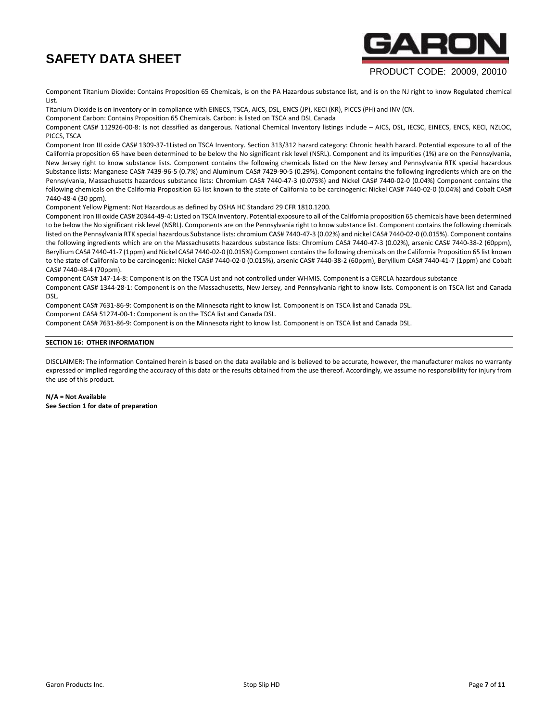

# PRODUCT CODE: 20009, 20010

Component Titanium Dioxide: Contains Proposition 65 Chemicals, is on the PA Hazardous substance list, and is on the NJ right to know Regulated chemical List.

Titanium Dioxide is on inventory or in compliance with EINECS, TSCA, AICS, DSL, ENCS (JP), KECI (KR), PICCS (PH) and INV (CN.

Component Carbon: Contains Proposition 65 Chemicals. Carbon: is listed on TSCA and DSL Canada

Component CAS# 112926-00-8: Is not classified as dangerous. National Chemical Inventory listings include – AICS, DSL, IECSC, EINECS, ENCS, KECI, NZLOC, PICCS, TSCA

Component Iron III oxide CAS# 1309-37-1Listed on TSCA Inventory. Section 313/312 hazard category: Chronic health hazard. Potential exposure to all of the California proposition 65 have been determined to be below the No significant risk level (NSRL). Component and its impurities (1%) are on the Pennsylvania, New Jersey right to know substance lists. Component contains the following chemicals listed on the New Jersey and Pennsylvania RTK special hazardous Substance lists: Manganese CAS# 7439-96-5 (0.7%) and Aluminum CAS# 7429-90-5 (0.29%). Component contains the following ingredients which are on the Pennsylvania, Massachusetts hazardous substance lists: Chromium CAS# 7440-47-3 (0.075%) and Nickel CAS# 7440-02-0 (0.04%) Component contains the following chemicals on the California Proposition 65 list known to the state of California to be carcinogenic: Nickel CAS# 7440-02-0 (0.04%) and Cobalt CAS# 7440-48-4 (30 ppm).

Component Yellow Pigment: Not Hazardous as defined by OSHA HC Standard 29 CFR 1810.1200.

Component Iron III oxide CAS# 20344-49-4: Listed on TSCA Inventory. Potential exposure to all of the California proposition 65 chemicals have been determined to be below the No significant risk level (NSRL). Components are on the Pennsylvania right to know substance list. Component contains the following chemicals listed on the Pennsylvania RTK special hazardous Substance lists: chromium CAS# 7440-47-3 (0.02%) and nickel CAS# 7440-02-0 (0.015%). Component contains the following ingredients which are on the Massachusetts hazardous substance lists: Chromium CAS# 7440-47-3 (0.02%), arsenic CAS# 7440-38-2 (60ppm), Beryllium CAS# 7440-41-7 (1ppm) and Nickel CAS# 7440-02-0 (0.015%) Component contains the following chemicals on the California Proposition 65 list known to the state of California to be carcinogenic: Nickel CAS# 7440-02-0 (0.015%), arsenic CAS# 7440-38-2 (60ppm), Beryllium CAS# 7440-41-7 (1ppm) and Cobalt CAS# 7440-48-4 (70ppm).

Component CAS# 147-14-8: Component is on the TSCA List and not controlled under WHMIS. Component is a CERCLA hazardous substance

Component CAS# 1344-28-1: Component is on the Massachusetts, New Jersey, and Pennsylvania right to know lists. Component is on TSCA list and Canada DSL.

Component CAS# 7631-86-9: Component is on the Minnesota right to know list. Component is on TSCA list and Canada DSL.

Component CAS# 51274-00-1: Component is on the TSCA list and Canada DSL.

Component CAS# 7631-86-9: Component is on the Minnesota right to know list. Component is on TSCA list and Canada DSL.

# **SECTION 16: OTHER INFORMATION**

DISCLAIMER: The information Contained herein is based on the data available and is believed to be accurate, however, the manufacturer makes no warranty expressed or implied regarding the accuracy of this data or the results obtained from the use thereof. Accordingly, we assume no responsibility for injury from the use of this product.

# **N/A = Not Available See Section 1 for date of preparation**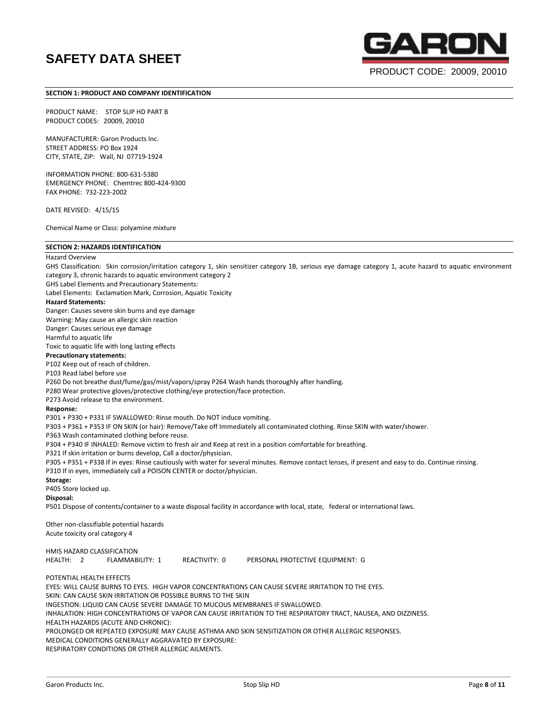

PRODUCT CODE: 20009, 20010

# **SECTION 1: PRODUCT AND COMPANY IDENTIFICATION**

PRODUCT NAME: STOP SLIP HD PART B PRODUCT CODES: 20009, 20010

MANUFACTURER: Garon Products Inc. STREET ADDRESS: PO Box 1924 CITY, STATE, ZIP: Wall, NJ 07719-1924

INFORMATION PHONE: 800-631-5380 EMERGENCY PHONE: Chemtrec 800-424-9300 FAX PHONE: 732-223-2002

DATE REVISED: 4/15/15

Chemical Name or Class: polyamine mixture

Garon Products Inc. **Example 2** of **11** Stop Slip HD Stop Slip HD Page **8** of **11 SECTION 2: HAZARDS IDENTIFICATION** Hazard Overview GHS Classification: Skin corrosion/irritation category 1, skin sensitizer category 1B, serious eye damage category 1, acute hazard to aquatic environment category 3, chronic hazards to aquatic environment category 2 GHS Label Elements and Precautionary Statements: Label Elements: Exclamation Mark, Corrosion, Aquatic Toxicity **Hazard Statements:** Danger: Causes severe skin burns and eye damage Warning: May cause an allergic skin reaction Danger: Causes serious eye damage Harmful to aquatic life Toxic to aquatic life with long lasting effects **Precautionary statements:** P102 Keep out of reach of children. P103 Read label before use P260 Do not breathe dust/fume/gas/mist/vapors/spray P264 Wash hands thoroughly after handling. P280 Wear protective gloves/protective clothing/eye protection/face protection. P273 Avoid release to the environment. **Response:** P301 + P330 + P331 IF SWALLOWED: Rinse mouth. Do NOT induce vomiting. P303 + P361 + P353 IF ON SKIN (or hair): Remove/Take off Immediately all contaminated clothing. Rinse SKIN with water/shower. P363 Wash contaminated clothing before reuse. P304 + P340 IF INHALED: Remove victim to fresh air and Keep at rest in a position comfortable for breathing. P321 If skin irritation or burns develop, Call a doctor/physician. P305 + P351 + P338 If in eyes: Rinse cautiously with water for several minutes. Remove contact lenses, if present and easy to do. Continue rinsing. P310 If in eyes, immediately call a POISON CENTER or doctor/physician. **Storage:** P405 Store locked up. **Disposal:** P501 Dispose of contents/container to a waste disposal facility in accordance with local, state, federal or international laws. Other non-classifiable potential hazards Acute toxicity oral category 4 HMIS HAZARD CLASSIFICATION HEALTH: 2 FLAMMABILITY: 1 REACTIVITY: 0 PERSONAL PROTECTIVE EQUIPMENT: G POTENTIAL HEALTH EFFECTS EYES: WILL CAUSE BURNS TO EYES. HIGH VAPOR CONCENTRATIONS CAN CAUSE SEVERE IRRITATION TO THE EYES. SKIN: CAN CAUSE SKIN IRRITATION OR POSSIBLE BURNS TO THE SKIN INGESTION: LIQUID CAN CAUSE SEVERE DAMAGE TO MUCOUS MEMBRANES IF SWALLOWED. INHALATION: HIGH CONCENTRATIONS OF VAPOR CAN CAUSE IRRITATION TO THE RESPIRATORY TRACT, NAUSEA, AND DIZZINESS. HEALTH HAZARDS (ACUTE AND CHRONIC): PROLONGED OR REPEATED EXPOSURE MAY CAUSE ASTHMA AND SKIN SENSITIZATION OR OTHER ALLERGIC RESPONSES. MEDICAL CONDITIONS GENERALLY AGGRAVATED BY EXPOSURE: RESPIRATORY CONDITIONS OR OTHER ALLERGIC AILMENTS.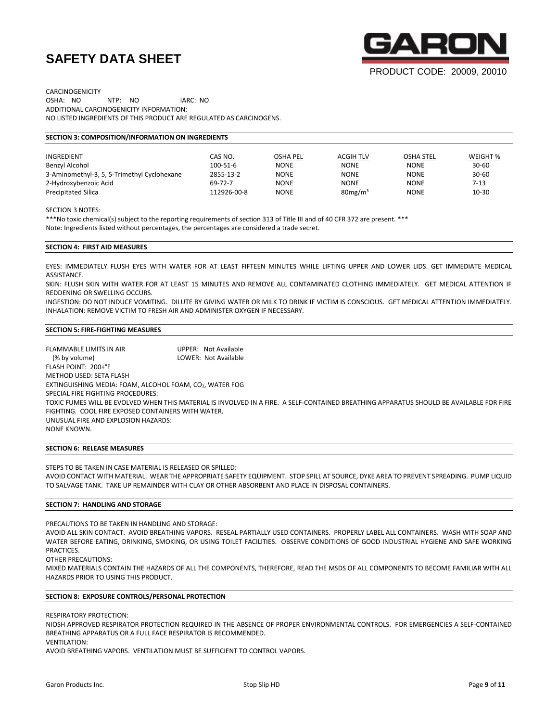

CARCINOGENICITY OSHA: NO NTP: NO IARC: NO ADDITIONAL CARCINOGENICITY INFORMATION: NO LISTED INGREDIENTS OF THIS PRODUCT ARE REGULATED AS CARCINOGENS.

# **SECTION 3: COMPOSITION/INFORMATION ON INGREDIENTS**

| INGREDIENT                                  | CAS NO.        | <b>OSHA PEL</b> | <b>ACGIH TLV</b>    | <b>OSHA STEL</b> | WEIGHT %  |
|---------------------------------------------|----------------|-----------------|---------------------|------------------|-----------|
| Benzyl Alcohol                              | $100 - 51 - 6$ | <b>NONE</b>     | <b>NONE</b>         | <b>NONE</b>      | $30 - 60$ |
| 3-Aminomethyl-3, 5, 5-Trimethyl Cyclohexane | 2855-13-2      | <b>NONE</b>     | <b>NONE</b>         | <b>NONE</b>      | $30 - 60$ |
| 2-Hydroxybenzoic Acid                       | 69-72-7        | <b>NONE</b>     | <b>NONE</b>         | <b>NONE</b>      | 7-13      |
| <b>Precipitated Silica</b>                  | 112926-00-8    | <b>NONE</b>     | 80mg/m <sup>3</sup> | <b>NONE</b>      | 10-30     |

SECTION 3 NOTES:

\*\*\*No toxic chemical(s) subject to the reporting requirements of section 313 of Title III and of 40 CFR 372 are present. \*\*\* Note: Ingredients listed without percentages, the percentages are considered a trade secret.

#### **SECTION 4: FIRST AID MEASURES**

EYES: IMMEDIATELY FLUSH EYES WITH WATER FOR AT LEAST FIFTEEN MINUTES WHILE LIFTING UPPER AND LOWER LIDS. GET IMMEDIATE MEDICAL ASSISTANCE.

SKIN: FLUSH SKIN WITH WATER FOR AT LEAST 15 MINUTES AND REMOVE ALL CONTAMINATED CLOTHING IMMEDIATELY. GET MEDICAL ATTENTION IF REDDENING OR SWELLING OCCURS.

INGESTION: DO NOT INDUCE VOMITING. DILUTE BY GIVING WATER OR MILK TO DRINK IF VICTIM IS CONSCIOUS. GET MEDICAL ATTENTION IMMEDIATELY. INHALATION: REMOVE VICTIM TO FRESH AIR AND ADMINISTER OXYGEN IF NECESSARY.

# **SECTION 5: FIRE-FIGHTING MEASURES**

FLAMMABLE LIMITS IN AIR **UPPER: Not Available**  (% by volume) LOWER: Not Available FLASH POINT: 200+°F METHOD USED: SETA FLASH EXTINGUISHING MEDIA: FOAM, ALCOHOL FOAM, CO2, WATER FOG SPECIAL FIRE FIGHTING PROCEDURES: TOXIC FUMES WILL BE EVOLVED WHEN THIS MATERIAL IS INVOLVED IN A FIRE. A SELF-CONTAINED BREATHING APPARATUS SHOULD BE AVAILABLE FOR FIRE FIGHTING. COOL FIRE EXPOSED CONTAINERS WITH WATER. UNUSUAL FIRE AND EXPLOSION HAZARDS: NONE KNOWN.

#### **SECTION 6: RELEASE MEASURES**

STEPS TO BE TAKEN IN CASE MATERIAL IS RELEASED OR SPILLED:

AVOID CONTACT WITH MATERIAL. WEAR THE APPROPRIATE SAFETY EQUIPMENT. STOP SPILL AT SOURCE, DYKE AREA TO PREVENT SPREADING. PUMP LIQUID TO SALVAGE TANK. TAKE UP REMAINDER WITH CLAY OR OTHER ABSORBENT AND PLACE IN DISPOSAL CONTAINERS.

## **SECTION 7: HANDLING AND STORAGE**

PRECAUTIONS TO BE TAKEN IN HANDLING AND STORAGE:

AVOID ALL SKIN CONTACT. AVOID BREATHING VAPORS. RESEAL PARTIALLY USED CONTAINERS. PROPERLY LABEL ALL CONTAINERS. WASH WITH SOAP AND WATER BEFORE EATING, DRINKING, SMOKING, OR USING TOILET FACILITIES. OBSERVE CONDITIONS OF GOOD INDUSTRIAL HYGIENE AND SAFE WORKING PRACTICES.

OTHER PRECAUTIONS:

MIXED MATERIALS CONTAIN THE HAZARDS OF ALL THE COMPONENTS, THEREFORE, READ THE MSDS OF ALL COMPONENTS TO BECOME FAMILIAR WITH ALL HAZARDS PRIOR TO USING THIS PRODUCT.

# **SECTION 8: EXPOSURE CONTROLS/PERSONAL PROTECTION**

RESPIRATORY PROTECTION:

NIOSH APPROVED RESPIRATOR PROTECTION REQUIRED IN THE ABSENCE OF PROPER ENVIRONMENTAL CONTROLS. FOR EMERGENCIES A SELF-CONTAINED BREATHING APPARATUS OR A FULL FACE RESPIRATOR IS RECOMMENDED.

VENTILATION:

AVOID BREATHING VAPORS. VENTILATION MUST BE SUFFICIENT TO CONTROL VAPORS.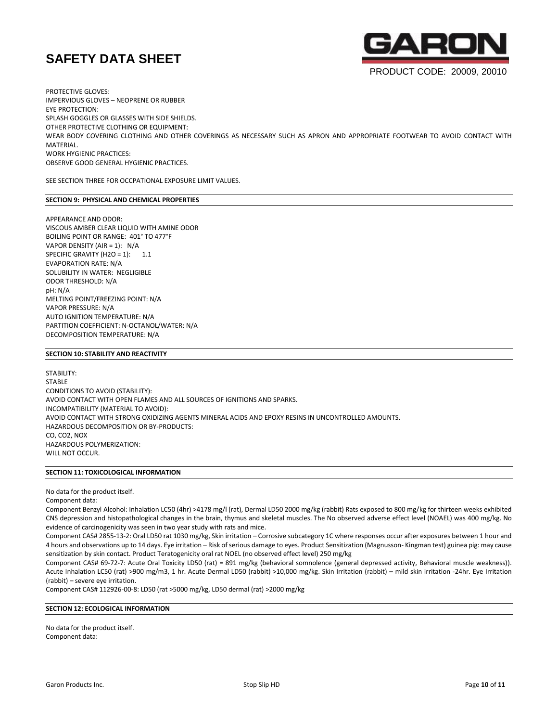

PROTECTIVE GLOVES: IMPERVIOUS GLOVES – NEOPRENE OR RUBBER EYE PROTECTION: SPLASH GOGGLES OR GLASSES WITH SIDE SHIELDS. OTHER PROTECTIVE CLOTHING OR EQUIPMENT: WEAR BODY COVERING CLOTHING AND OTHER COVERINGS AS NECESSARY SUCH AS APRON AND APPROPRIATE FOOTWEAR TO AVOID CONTACT WITH MATERIAL. WORK HYGIENIC PRACTICES: OBSERVE GOOD GENERAL HYGIENIC PRACTICES.

SEE SECTION THREE FOR OCCPATIONAL EXPOSURE LIMIT VALUES.

# **SECTION 9: PHYSICAL AND CHEMICAL PROPERTIES**

APPEARANCE AND ODOR: VISCOUS AMBER CLEAR LIQUID WITH AMINE ODOR BOILING POINT OR RANGE: 401° TO 477°F VAPOR DENSITY (AIR = 1): N/A SPECIFIC GRAVITY (H2O = 1):  $1.1$ EVAPORATION RATE: N/A SOLUBILITY IN WATER: NEGLIGIBLE ODOR THRESHOLD: N/A pH: N/A MELTING POINT/FREEZING POINT: N/A VAPOR PRESSURE: N/A AUTO IGNITION TEMPERATURE: N/A PARTITION COEFFICIENT: N-OCTANOL/WATER: N/A DECOMPOSITION TEMPERATURE: N/A

# **SECTION 10: STABILITY AND REACTIVITY**

STABILITY: STABLE CONDITIONS TO AVOID (STABILITY): AVOID CONTACT WITH OPEN FLAMES AND ALL SOURCES OF IGNITIONS AND SPARKS. INCOMPATIBILITY (MATERIAL TO AVOID): AVOID CONTACT WITH STRONG OXIDIZING AGENTS MINERAL ACIDS AND EPOXY RESINS IN UNCONTROLLED AMOUNTS. HAZARDOUS DECOMPOSITION OR BY-PRODUCTS: CO, CO2, NOX HAZARDOUS POLYMERIZATION: WILL NOT OCCUR.

# **SECTION 11: TOXICOLOGICAL INFORMATION**

No data for the product itself.

Component data:

Component Benzyl Alcohol: Inhalation LC50 (4hr) >4178 mg/l (rat), Dermal LD50 2000 mg/kg (rabbit) Rats exposed to 800 mg/kg for thirteen weeks exhibited CNS depression and histopathological changes in the brain, thymus and skeletal muscles. The No observed adverse effect level (NOAEL) was 400 mg/kg. No evidence of carcinogenicity was seen in two year study with rats and mice.

Component CAS# 2855-13-2: Oral LD50 rat 1030 mg/kg, Skin irritation – Corrosive subcategory 1C where responses occur after exposures between 1 hour and 4 hours and observations up to 14 days. Eye irritation – Risk of serious damage to eyes. Product Sensitization (Magnusson- Kingman test) guinea pig: may cause sensitization by skin contact. Product Teratogenicity oral rat NOEL (no observed effect level) 250 mg/kg

Component CAS# 69-72-7: Acute Oral Toxicity LD50 (rat) = 891 mg/kg (behavioral somnolence (general depressed activity, Behavioral muscle weakness)). Acute Inhalation LC50 (rat) >900 mg/m3, 1 hr. Acute Dermal LD50 (rabbit) >10,000 mg/kg. Skin Irritation (rabbit) – mild skin irritation -24hr. Eye Irritation (rabbit) – severe eye irritation.

Component CAS# 112926-00-8: LD50 (rat >5000 mg/kg, LD50 dermal (rat) >2000 mg/kg

# **SECTION 12: ECOLOGICAL INFORMATION**

No data for the product itself. Component data: